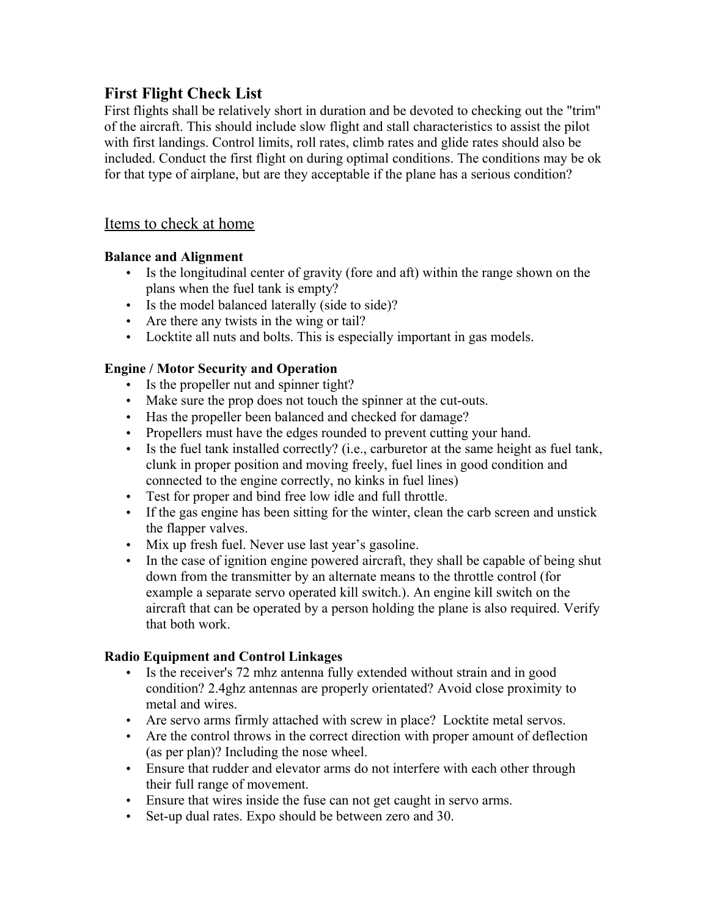# **First Flight Check List**

First flights shall be relatively short in duration and be devoted to checking out the "trim" of the aircraft. This should include slow flight and stall characteristics to assist the pilot with first landings. Control limits, roll rates, climb rates and glide rates should also be included. Conduct the first flight on during optimal conditions. The conditions may be ok for that type of airplane, but are they acceptable if the plane has a serious condition?

### Items to check at home

#### **Balance and Alignment**

- Is the longitudinal center of gravity (fore and aft) within the range shown on the plans when the fuel tank is empty?
- Is the model balanced laterally (side to side)?
- Are there any twists in the wing or tail?
- Locktite all nuts and bolts. This is especially important in gas models.

### **Engine / Motor Security and Operation**

- Is the propeller nut and spinner tight?
- Make sure the prop does not touch the spinner at the cut-outs.
- Has the propeller been balanced and checked for damage?
- Propellers must have the edges rounded to prevent cutting your hand.
- Is the fuel tank installed correctly? (i.e., carburetor at the same height as fuel tank, clunk in proper position and moving freely, fuel lines in good condition and connected to the engine correctly, no kinks in fuel lines)
- Test for proper and bind free low idle and full throttle.
- If the gas engine has been sitting for the winter, clean the carb screen and unstick the flapper valves.
- Mix up fresh fuel. Never use last year's gasoline.
- In the case of ignition engine powered aircraft, they shall be capable of being shut down from the transmitter by an alternate means to the throttle control (for example a separate servo operated kill switch.). An engine kill switch on the aircraft that can be operated by a person holding the plane is also required. Verify that both work.

### **Radio Equipment and Control Linkages**

- Is the receiver's 72 mhz antenna fully extended without strain and in good condition? 2.4ghz antennas are properly orientated? Avoid close proximity to metal and wires.
- Are servo arms firmly attached with screw in place? Locktite metal servos.
- Are the control throws in the correct direction with proper amount of deflection (as per plan)? Including the nose wheel.
- Ensure that rudder and elevator arms do not interfere with each other through their full range of movement.
- Ensure that wires inside the fuse can not get caught in servo arms.
- Set-up dual rates. Expo should be between zero and 30.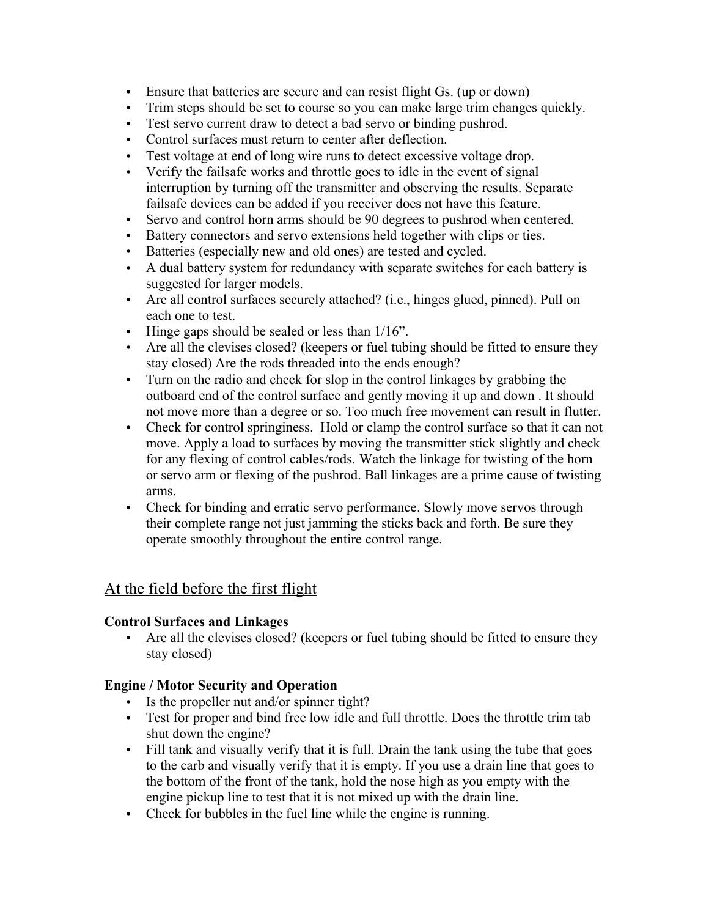- Ensure that batteries are secure and can resist flight Gs. (up or down)
- Trim steps should be set to course so you can make large trim changes quickly.
- Test servo current draw to detect a bad servo or binding pushrod.
- Control surfaces must return to center after deflection.
- Test voltage at end of long wire runs to detect excessive voltage drop.
- Verify the failsafe works and throttle goes to idle in the event of signal interruption by turning off the transmitter and observing the results. Separate failsafe devices can be added if you receiver does not have this feature.
- Servo and control horn arms should be 90 degrees to pushrod when centered.
- Battery connectors and servo extensions held together with clips or ties.
- Batteries (especially new and old ones) are tested and cycled.
- A dual battery system for redundancy with separate switches for each battery is suggested for larger models.
- Are all control surfaces securely attached? (i.e., hinges glued, pinned). Pull on each one to test.
- Hinge gaps should be sealed or less than  $1/16$ ".
- Are all the clevises closed? (keepers or fuel tubing should be fitted to ensure they stay closed) Are the rods threaded into the ends enough?
- Turn on the radio and check for slop in the control linkages by grabbing the outboard end of the control surface and gently moving it up and down . It should not move more than a degree or so. Too much free movement can result in flutter.
- Check for control springiness. Hold or clamp the control surface so that it can not move. Apply a load to surfaces by moving the transmitter stick slightly and check for any flexing of control cables/rods. Watch the linkage for twisting of the horn or servo arm or flexing of the pushrod. Ball linkages are a prime cause of twisting arms.
- Check for binding and erratic servo performance. Slowly move servos through their complete range not just jamming the sticks back and forth. Be sure they operate smoothly throughout the entire control range.

## At the field before the first flight

### **Control Surfaces and Linkages**

• Are all the clevises closed? (keepers or fuel tubing should be fitted to ensure they stay closed)

### **Engine / Motor Security and Operation**

- Is the propeller nut and/or spinner tight?
- Test for proper and bind free low idle and full throttle. Does the throttle trim tab shut down the engine?
- Fill tank and visually verify that it is full. Drain the tank using the tube that goes to the carb and visually verify that it is empty. If you use a drain line that goes to the bottom of the front of the tank, hold the nose high as you empty with the engine pickup line to test that it is not mixed up with the drain line.
- Check for bubbles in the fuel line while the engine is running.